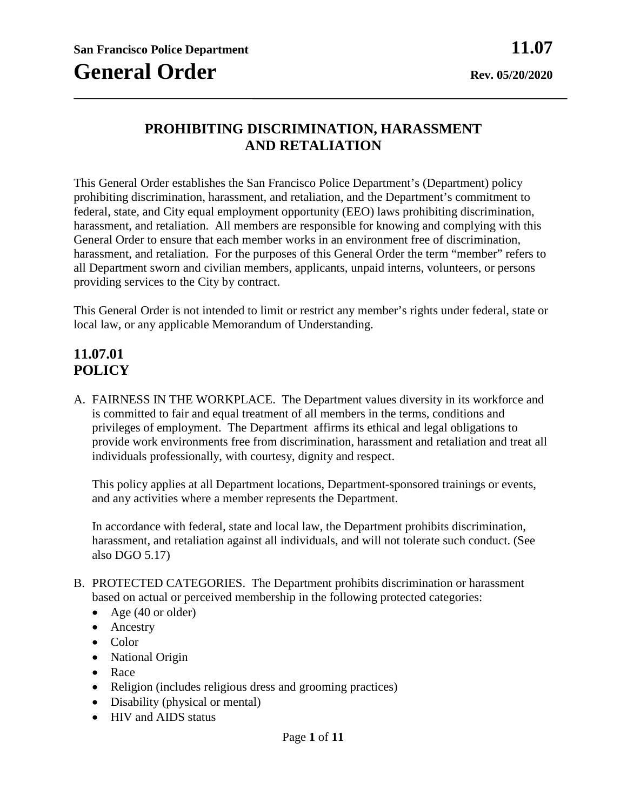## **PROHIBITING DISCRIMINATION, HARASSMENT AND RETALIATION**

This General Order establishes the San Francisco Police Department's (Department) policy prohibiting discrimination, harassment, and retaliation, and the Department's commitment to federal, state, and City equal employment opportunity (EEO) laws prohibiting discrimination, harassment, and retaliation. All members are responsible for knowing and complying with this General Order to ensure that each member works in an environment free of discrimination, harassment, and retaliation. For the purposes of this General Order the term "member" refers to all Department sworn and civilian members, applicants, unpaid interns, volunteers, or persons providing services to the City by contract.

This General Order is not intended to limit or restrict any member's rights under federal, state or local law, or any applicable Memorandum of Understanding.

## **11.07.01 POLICY**

A. FAIRNESS IN THE WORKPLACE. The Department values diversity in its workforce and is committed to fair and equal treatment of all members in the terms, conditions and privileges of employment. The Department affirms its ethical and legal obligations to provide work environments free from discrimination, harassment and retaliation and treat all individuals professionally, with courtesy, dignity and respect.

This policy applies at all Department locations, Department-sponsored trainings or events, and any activities where a member represents the Department.

In accordance with federal, state and local law, the Department prohibits discrimination, harassment, and retaliation against all individuals, and will not tolerate such conduct. (See also DGO 5.17)

- B. PROTECTED CATEGORIES. The Department prohibits discrimination or harassment based on actual or perceived membership in the following protected categories:
	- Age (40 or older)
	- Ancestry
	- Color
	- National Origin
	- Race
	- Religion (includes religious dress and grooming practices)
	- Disability (physical or mental)
	- HIV and AIDS status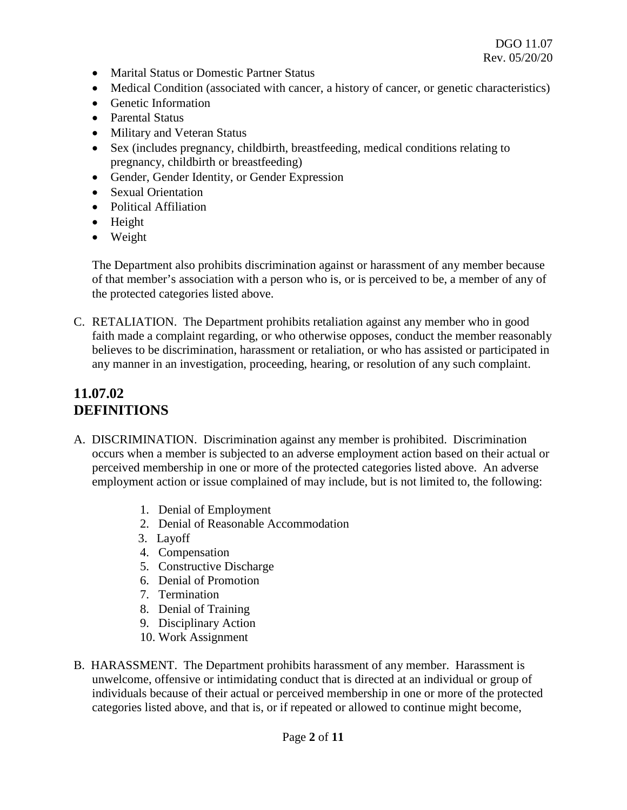- Marital Status or Domestic Partner Status
- Medical Condition (associated with cancer, a history of cancer, or genetic characteristics)
- Genetic Information
- Parental Status
- Military and Veteran Status
- Sex (includes pregnancy, childbirth, breastfeeding, medical conditions relating to pregnancy, childbirth or breastfeeding)
- Gender, Gender Identity, or Gender Expression
- Sexual Orientation
- Political Affiliation
- Height
- Weight

The Department also prohibits discrimination against or harassment of any member because of that member's association with a person who is, or is perceived to be, a member of any of the protected categories listed above.

C. RETALIATION. The Department prohibits retaliation against any member who in good faith made a complaint regarding, or who otherwise opposes, conduct the member reasonably believes to be discrimination, harassment or retaliation, or who has assisted or participated in any manner in an investigation, proceeding, hearing, or resolution of any such complaint.

# **11.07.02 DEFINITIONS**

- A. DISCRIMINATION. Discrimination against any member is prohibited. Discrimination occurs when a member is subjected to an adverse employment action based on their actual or perceived membership in one or more of the protected categories listed above. An adverse employment action or issue complained of may include, but is not limited to, the following:
	- 1. Denial of Employment
	- 2. Denial of Reasonable Accommodation
	- 3. Layoff
	- 4. Compensation
	- 5. Constructive Discharge
	- 6. Denial of Promotion
	- 7. Termination
	- 8. Denial of Training
	- 9. Disciplinary Action
	- 10. Work Assignment
- B. HARASSMENT. The Department prohibits harassment of any member. Harassment is unwelcome, offensive or intimidating conduct that is directed at an individual or group of individuals because of their actual or perceived membership in one or more of the protected categories listed above, and that is, or if repeated or allowed to continue might become,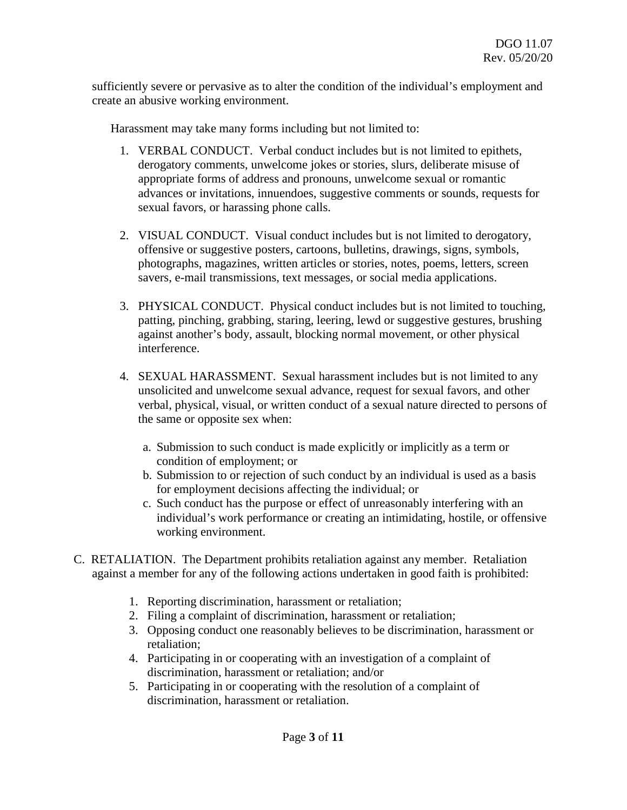sufficiently severe or pervasive as to alter the condition of the individual's employment and create an abusive working environment.

Harassment may take many forms including but not limited to:

- 1. VERBAL CONDUCT. Verbal conduct includes but is not limited to epithets, derogatory comments, unwelcome jokes or stories, slurs, deliberate misuse of appropriate forms of address and pronouns, unwelcome sexual or romantic advances or invitations, innuendoes, suggestive comments or sounds, requests for sexual favors, or harassing phone calls.
- 2. VISUAL CONDUCT. Visual conduct includes but is not limited to derogatory, offensive or suggestive posters, cartoons, bulletins, drawings, signs, symbols, photographs, magazines, written articles or stories, notes, poems, letters, screen savers, e-mail transmissions, text messages, or social media applications.
- 3. PHYSICAL CONDUCT. Physical conduct includes but is not limited to touching, patting, pinching, grabbing, staring, leering, lewd or suggestive gestures, brushing against another's body, assault, blocking normal movement, or other physical interference.
- 4. SEXUAL HARASSMENT. Sexual harassment includes but is not limited to any unsolicited and unwelcome sexual advance, request for sexual favors, and other verbal, physical, visual, or written conduct of a sexual nature directed to persons of the same or opposite sex when:
	- a. Submission to such conduct is made explicitly or implicitly as a term or condition of employment; or
	- b. Submission to or rejection of such conduct by an individual is used as a basis for employment decisions affecting the individual; or
	- c. Such conduct has the purpose or effect of unreasonably interfering with an individual's work performance or creating an intimidating, hostile, or offensive working environment.
- C. RETALIATION. The Department prohibits retaliation against any member. Retaliation against a member for any of the following actions undertaken in good faith is prohibited:
	- 1. Reporting discrimination, harassment or retaliation;
	- 2. Filing a complaint of discrimination, harassment or retaliation;
	- 3. Opposing conduct one reasonably believes to be discrimination, harassment or retaliation;
	- 4. Participating in or cooperating with an investigation of a complaint of discrimination, harassment or retaliation; and/or
	- 5. Participating in or cooperating with the resolution of a complaint of discrimination, harassment or retaliation.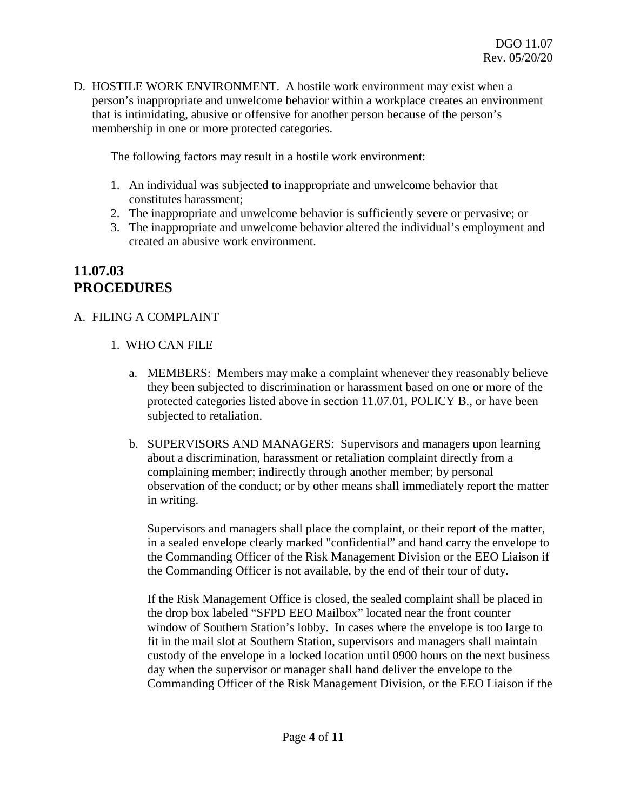D. HOSTILE WORK ENVIRONMENT. A hostile work environment may exist when a person's inappropriate and unwelcome behavior within a workplace creates an environment that is intimidating, abusive or offensive for another person because of the person's membership in one or more protected categories.

The following factors may result in a hostile work environment:

- 1. An individual was subjected to inappropriate and unwelcome behavior that constitutes harassment;
- 2. The inappropriate and unwelcome behavior is sufficiently severe or pervasive; or
- 3. The inappropriate and unwelcome behavior altered the individual's employment and created an abusive work environment.

## **11.07.03 PROCEDURES**

### A. FILING A COMPLAINT

- 1. WHO CAN FILE
	- a. MEMBERS: Members may make a complaint whenever they reasonably believe they been subjected to discrimination or harassment based on one or more of the protected categories listed above in section 11.07.01, POLICY B., or have been subjected to retaliation.
	- b. SUPERVISORS AND MANAGERS: Supervisors and managers upon learning about a discrimination, harassment or retaliation complaint directly from a complaining member; indirectly through another member; by personal observation of the conduct; or by other means shall immediately report the matter in writing.

Supervisors and managers shall place the complaint, or their report of the matter, in a sealed envelope clearly marked "confidential" and hand carry the envelope to the Commanding Officer of the Risk Management Division or the EEO Liaison if the Commanding Officer is not available, by the end of their tour of duty.

If the Risk Management Office is closed, the sealed complaint shall be placed in the drop box labeled "SFPD EEO Mailbox" located near the front counter window of Southern Station's lobby. In cases where the envelope is too large to fit in the mail slot at Southern Station, supervisors and managers shall maintain custody of the envelope in a locked location until 0900 hours on the next business day when the supervisor or manager shall hand deliver the envelope to the Commanding Officer of the Risk Management Division, or the EEO Liaison if the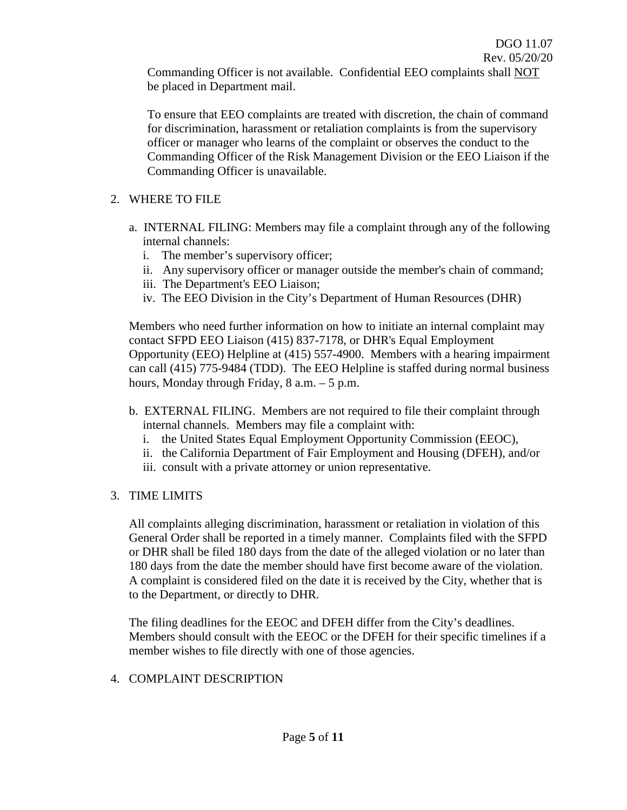Commanding Officer is not available. Confidential EEO complaints shall NOT be placed in Department mail.

To ensure that EEO complaints are treated with discretion, the chain of command for discrimination, harassment or retaliation complaints is from the supervisory officer or manager who learns of the complaint or observes the conduct to the Commanding Officer of the Risk Management Division or the EEO Liaison if the Commanding Officer is unavailable.

- 2. WHERE TO FILE
	- a. INTERNAL FILING: Members may file a complaint through any of the following internal channels:
		- i. The member's supervisory officer;
		- ii. Any supervisory officer or manager outside the member's chain of command;
		- iii. The Department's EEO Liaison;
		- iv. The EEO Division in the City's Department of Human Resources (DHR)

Members who need further information on how to initiate an internal complaint may contact SFPD EEO Liaison (415) 837-7178, or DHR's Equal Employment Opportunity (EEO) Helpline at (415) 557-4900. Members with a hearing impairment can call (415) 775-9484 (TDD). The EEO Helpline is staffed during normal business hours, Monday through Friday, 8 a.m. – 5 p.m.

- b. EXTERNAL FILING. Members are not required to file their complaint through internal channels. Members may file a complaint with:
	- i. the United States Equal Employment Opportunity Commission (EEOC),
	- ii. the California Department of Fair Employment and Housing (DFEH), and/or
	- iii. consult with a private attorney or union representative.

#### 3. TIME LIMITS

All complaints alleging discrimination, harassment or retaliation in violation of this General Order shall be reported in a timely manner. Complaints filed with the SFPD or DHR shall be filed 180 days from the date of the alleged violation or no later than 180 days from the date the member should have first become aware of the violation. A complaint is considered filed on the date it is received by the City, whether that is to the Department, or directly to DHR.

The filing deadlines for the EEOC and DFEH differ from the City's deadlines. Members should consult with the EEOC or the DFEH for their specific timelines if a member wishes to file directly with one of those agencies.

#### 4. COMPLAINT DESCRIPTION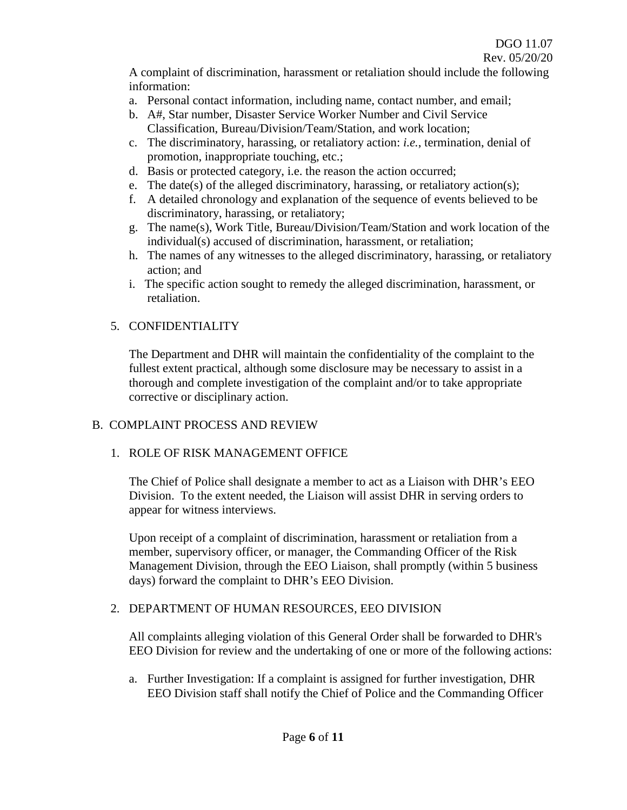A complaint of discrimination, harassment or retaliation should include the following information:

- a. Personal contact information, including name, contact number, and email;
- b. A#, Star number, Disaster Service Worker Number and Civil Service Classification, Bureau/Division/Team/Station, and work location;
- c. The discriminatory, harassing, or retaliatory action: *i.e.*, termination, denial of promotion, inappropriate touching, etc.;
- d. Basis or protected category, i.e. the reason the action occurred;
- e. The date(s) of the alleged discriminatory, harassing, or retaliatory action(s);
- f. A detailed chronology and explanation of the sequence of events believed to be discriminatory, harassing, or retaliatory;
- g. The name(s), Work Title, Bureau/Division/Team/Station and work location of the individual(s) accused of discrimination, harassment, or retaliation;
- h. The names of any witnesses to the alleged discriminatory, harassing, or retaliatory action; and
- i. The specific action sought to remedy the alleged discrimination, harassment, or retaliation.

#### 5. CONFIDENTIALITY

The Department and DHR will maintain the confidentiality of the complaint to the fullest extent practical, although some disclosure may be necessary to assist in a thorough and complete investigation of the complaint and/or to take appropriate corrective or disciplinary action.

### B. COMPLAINT PROCESS AND REVIEW

### 1. ROLE OF RISK MANAGEMENT OFFICE

The Chief of Police shall designate a member to act as a Liaison with DHR's EEO Division. To the extent needed, the Liaison will assist DHR in serving orders to appear for witness interviews.

Upon receipt of a complaint of discrimination, harassment or retaliation from a member, supervisory officer, or manager, the Commanding Officer of the Risk Management Division, through the EEO Liaison, shall promptly (within 5 business days) forward the complaint to DHR's EEO Division.

### 2. DEPARTMENT OF HUMAN RESOURCES, EEO DIVISION

All complaints alleging violation of this General Order shall be forwarded to DHR's EEO Division for review and the undertaking of one or more of the following actions:

a. Further Investigation: If a complaint is assigned for further investigation, DHR EEO Division staff shall notify the Chief of Police and the Commanding Officer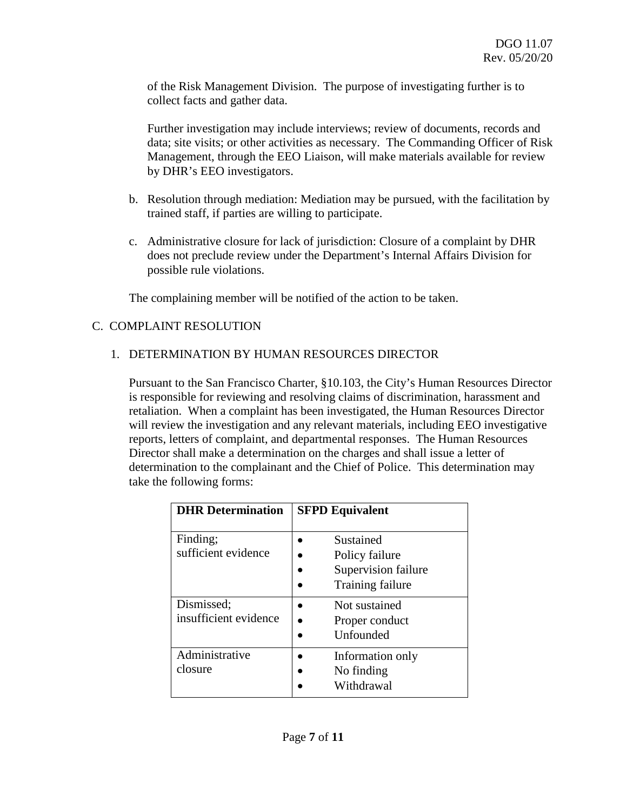of the Risk Management Division. The purpose of investigating further is to collect facts and gather data.

Further investigation may include interviews; review of documents, records and data; site visits; or other activities as necessary. The Commanding Officer of Risk Management, through the EEO Liaison, will make materials available for review by DHR's EEO investigators.

- b. Resolution through mediation: Mediation may be pursued, with the facilitation by trained staff, if parties are willing to participate.
- c. Administrative closure for lack of jurisdiction: Closure of a complaint by DHR does not preclude review under the Department's Internal Affairs Division for possible rule violations.

The complaining member will be notified of the action to be taken.

### C. COMPLAINT RESOLUTION

### 1. DETERMINATION BY HUMAN RESOURCES DIRECTOR

Pursuant to the San Francisco Charter, §10.103, the City's Human Resources Director is responsible for reviewing and resolving claims of discrimination, harassment and retaliation. When a complaint has been investigated, the Human Resources Director will review the investigation and any relevant materials, including EEO investigative reports, letters of complaint, and departmental responses. The Human Resources Director shall make a determination on the charges and shall issue a letter of determination to the complainant and the Chief of Police. This determination may take the following forms:

| <b>DHR</b> Determination            | <b>SFPD Equivalent</b>                                                 |
|-------------------------------------|------------------------------------------------------------------------|
| Finding;<br>sufficient evidence     | Sustained<br>Policy failure<br>Supervision failure<br>Training failure |
| Dismissed;<br>insufficient evidence | Not sustained<br>Proper conduct<br>Unfounded                           |
| Administrative<br>closure           | Information only<br>No finding<br>Withdrawal                           |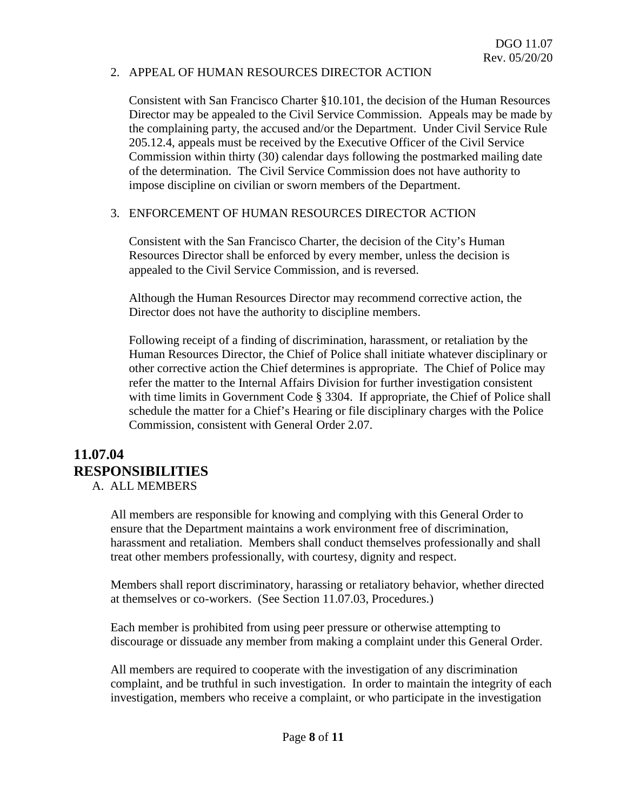#### 2. APPEAL OF HUMAN RESOURCES DIRECTOR ACTION

Consistent with San Francisco Charter §10.101, the decision of the Human Resources Director may be appealed to the Civil Service Commission. Appeals may be made by the complaining party, the accused and/or the Department. Under Civil Service Rule 205.12.4, appeals must be received by the Executive Officer of the Civil Service Commission within thirty (30) calendar days following the postmarked mailing date of the determination. The Civil Service Commission does not have authority to impose discipline on civilian or sworn members of the Department.

#### 3. ENFORCEMENT OF HUMAN RESOURCES DIRECTOR ACTION

Consistent with the San Francisco Charter, the decision of the City's Human Resources Director shall be enforced by every member, unless the decision is appealed to the Civil Service Commission, and is reversed.

Although the Human Resources Director may recommend corrective action, the Director does not have the authority to discipline members.

Following receipt of a finding of discrimination, harassment, or retaliation by the Human Resources Director, the Chief of Police shall initiate whatever disciplinary or other corrective action the Chief determines is appropriate. The Chief of Police may refer the matter to the Internal Affairs Division for further investigation consistent with time limits in Government Code § 3304. If appropriate, the Chief of Police shall schedule the matter for a Chief's Hearing or file disciplinary charges with the Police Commission, consistent with General Order 2.07.

# **11.07.04 RESPONSIBILITIES**

A. ALL MEMBERS

All members are responsible for knowing and complying with this General Order to ensure that the Department maintains a work environment free of discrimination, harassment and retaliation. Members shall conduct themselves professionally and shall treat other members professionally, with courtesy, dignity and respect.

Members shall report discriminatory, harassing or retaliatory behavior, whether directed at themselves or co-workers. (See Section 11.07.03, Procedures.)

Each member is prohibited from using peer pressure or otherwise attempting to discourage or dissuade any member from making a complaint under this General Order.

All members are required to cooperate with the investigation of any discrimination complaint, and be truthful in such investigation. In order to maintain the integrity of each investigation, members who receive a complaint, or who participate in the investigation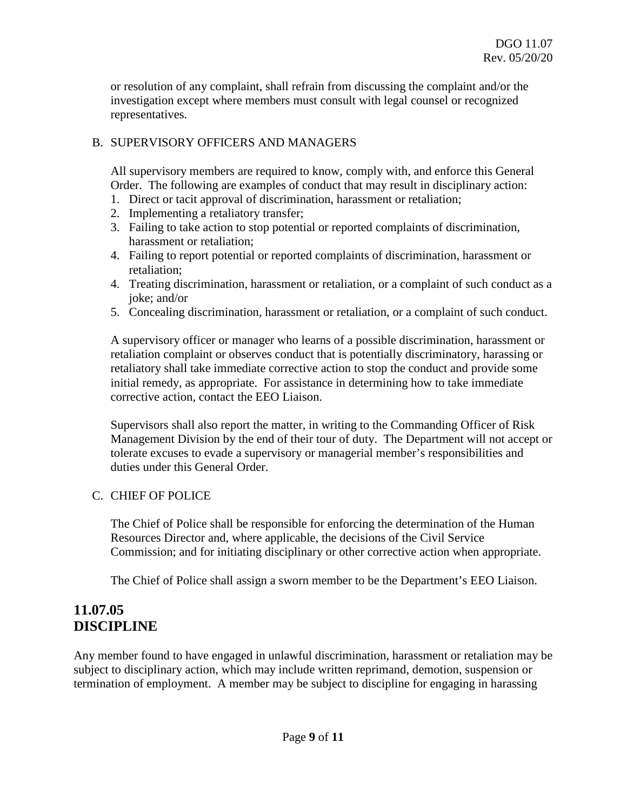or resolution of any complaint, shall refrain from discussing the complaint and/or the investigation except where members must consult with legal counsel or recognized representatives.

#### B. SUPERVISORY OFFICERS AND MANAGERS

All supervisory members are required to know, comply with, and enforce this General Order. The following are examples of conduct that may result in disciplinary action:

- 1. Direct or tacit approval of discrimination, harassment or retaliation;
- 2. Implementing a retaliatory transfer;
- 3. Failing to take action to stop potential or reported complaints of discrimination, harassment or retaliation;
- 4. Failing to report potential or reported complaints of discrimination, harassment or retaliation;
- 4. Treating discrimination, harassment or retaliation, or a complaint of such conduct as a joke; and/or
- 5. Concealing discrimination, harassment or retaliation, or a complaint of such conduct.

A supervisory officer or manager who learns of a possible discrimination, harassment or retaliation complaint or observes conduct that is potentially discriminatory, harassing or retaliatory shall take immediate corrective action to stop the conduct and provide some initial remedy, as appropriate. For assistance in determining how to take immediate corrective action, contact the EEO Liaison.

Supervisors shall also report the matter, in writing to the Commanding Officer of Risk Management Division by the end of their tour of duty. The Department will not accept or tolerate excuses to evade a supervisory or managerial member's responsibilities and duties under this General Order.

### C. CHIEF OF POLICE

The Chief of Police shall be responsible for enforcing the determination of the Human Resources Director and, where applicable, the decisions of the Civil Service Commission; and for initiating disciplinary or other corrective action when appropriate.

The Chief of Police shall assign a sworn member to be the Department's EEO Liaison.

## **11.07.05 DISCIPLINE**

Any member found to have engaged in unlawful discrimination, harassment or retaliation may be subject to disciplinary action, which may include written reprimand, demotion, suspension or termination of employment. A member may be subject to discipline for engaging in harassing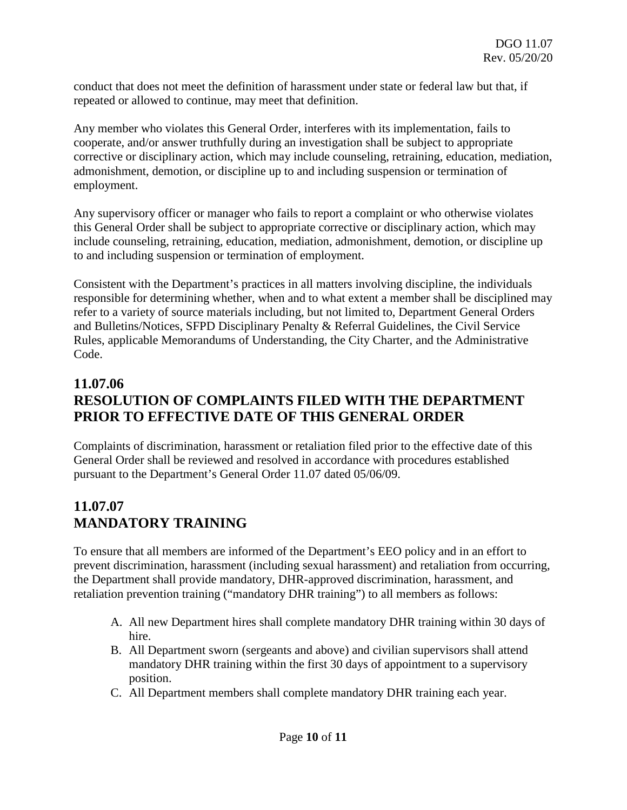conduct that does not meet the definition of harassment under state or federal law but that, if repeated or allowed to continue, may meet that definition.

Any member who violates this General Order, interferes with its implementation, fails to cooperate, and/or answer truthfully during an investigation shall be subject to appropriate corrective or disciplinary action, which may include counseling, retraining, education, mediation, admonishment, demotion, or discipline up to and including suspension or termination of employment.

Any supervisory officer or manager who fails to report a complaint or who otherwise violates this General Order shall be subject to appropriate corrective or disciplinary action, which may include counseling, retraining, education, mediation, admonishment, demotion, or discipline up to and including suspension or termination of employment.

Consistent with the Department's practices in all matters involving discipline, the individuals responsible for determining whether, when and to what extent a member shall be disciplined may refer to a variety of source materials including, but not limited to, Department General Orders and Bulletins/Notices, SFPD Disciplinary Penalty & Referral Guidelines, the Civil Service Rules, applicable Memorandums of Understanding, the City Charter, and the Administrative Code.

# **11.07.06 RESOLUTION OF COMPLAINTS FILED WITH THE DEPARTMENT PRIOR TO EFFECTIVE DATE OF THIS GENERAL ORDER**

Complaints of discrimination, harassment or retaliation filed prior to the effective date of this General Order shall be reviewed and resolved in accordance with procedures established pursuant to the Department's General Order 11.07 dated 05/06/09.

# **11.07.07 MANDATORY TRAINING**

To ensure that all members are informed of the Department's EEO policy and in an effort to prevent discrimination, harassment (including sexual harassment) and retaliation from occurring, the Department shall provide mandatory, DHR-approved discrimination, harassment, and retaliation prevention training ("mandatory DHR training") to all members as follows:

- A. All new Department hires shall complete mandatory DHR training within 30 days of hire.
- B. All Department sworn (sergeants and above) and civilian supervisors shall attend mandatory DHR training within the first 30 days of appointment to a supervisory position.
- C. All Department members shall complete mandatory DHR training each year.